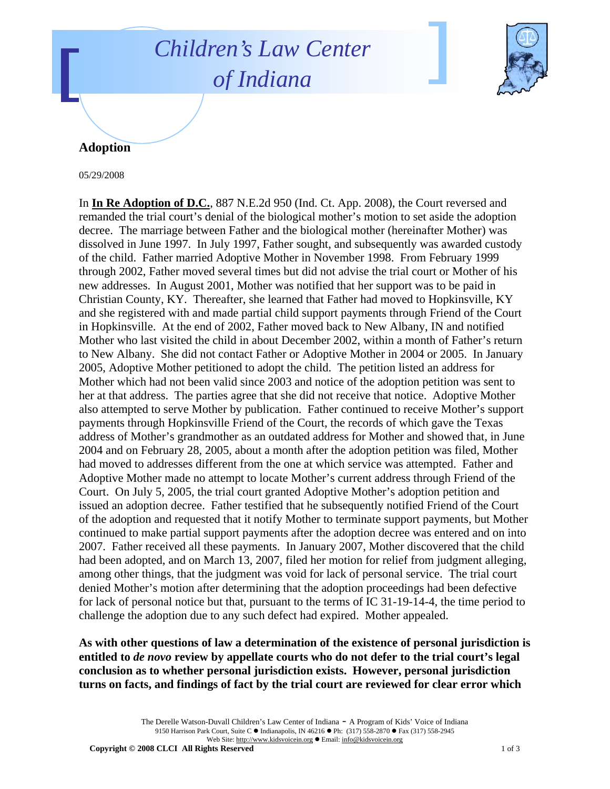## *Children's Law Center of Indiana*



## **Adoption**

05/29/2008

In **In Re Adoption of D.C.**, 887 N.E.2d 950 (Ind. Ct. App. 2008), the Court reversed and remanded the trial court's denial of the biological mother's motion to set aside the adoption decree. The marriage between Father and the biological mother (hereinafter Mother) was dissolved in June 1997. In July 1997, Father sought, and subsequently was awarded custody of the child. Father married Adoptive Mother in November 1998. From February 1999 through 2002, Father moved several times but did not advise the trial court or Mother of his new addresses. In August 2001, Mother was notified that her support was to be paid in Christian County, KY. Thereafter, she learned that Father had moved to Hopkinsville, KY and she registered with and made partial child support payments through Friend of the Court in Hopkinsville. At the end of 2002, Father moved back to New Albany, IN and notified Mother who last visited the child in about December 2002, within a month of Father's return to New Albany. She did not contact Father or Adoptive Mother in 2004 or 2005. In January 2005, Adoptive Mother petitioned to adopt the child. The petition listed an address for Mother which had not been valid since 2003 and notice of the adoption petition was sent to her at that address. The parties agree that she did not receive that notice. Adoptive Mother also attempted to serve Mother by publication. Father continued to receive Mother's support payments through Hopkinsville Friend of the Court, the records of which gave the Texas address of Mother's grandmother as an outdated address for Mother and showed that, in June 2004 and on February 28, 2005, about a month after the adoption petition was filed, Mother had moved to addresses different from the one at which service was attempted. Father and Adoptive Mother made no attempt to locate Mother's current address through Friend of the Court. On July 5, 2005, the trial court granted Adoptive Mother's adoption petition and issued an adoption decree. Father testified that he subsequently notified Friend of the Court of the adoption and requested that it notify Mother to terminate support payments, but Mother continued to make partial support payments after the adoption decree was entered and on into 2007. Father received all these payments. In January 2007, Mother discovered that the child had been adopted, and on March 13, 2007, filed her motion for relief from judgment alleging, among other things, that the judgment was void for lack of personal service. The trial court denied Mother's motion after determining that the adoption proceedings had been defective for lack of personal notice but that, pursuant to the terms of IC 31-19-14-4, the time period to challenge the adoption due to any such defect had expired. Mother appealed.

**As with other questions of law a determination of the existence of personal jurisdiction is entitled to** *de novo* **review by appellate courts who do not defer to the trial court's legal conclusion as to whether personal jurisdiction exists. However, personal jurisdiction turns on facts, and findings of fact by the trial court are reviewed for clear error which** 

> The Derelle Watson-Duvall Children's Law Center of Indiana - A Program of Kids' Voice of Indiana 9150 Harrison Park Court, Suite C · Indianapolis, IN 46216 • Ph: (317) 558-2870 • Fax (317) 558-2945 Web Site: http://www.kidsvoicein.org · Email: info@kidsvoicein.org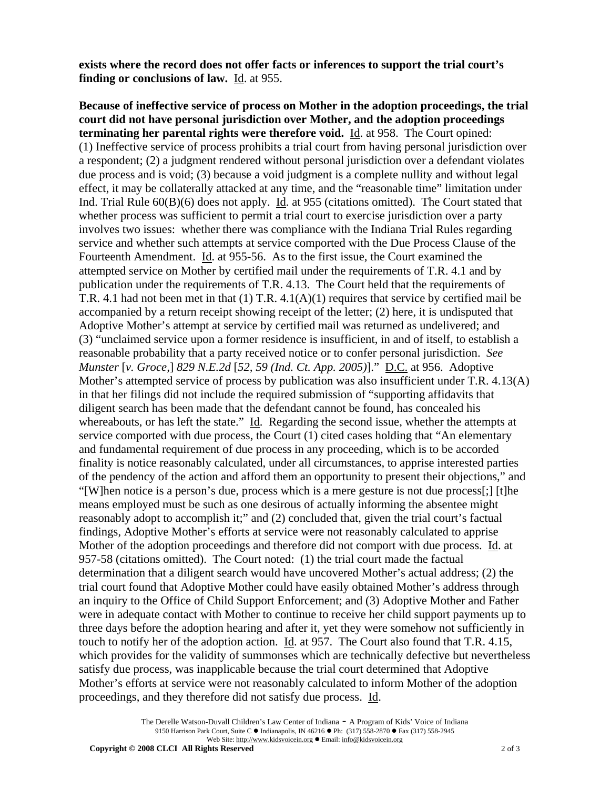**exists where the record does not offer facts or inferences to support the trial court's finding or conclusions of law.** Id. at 955.

**Because of ineffective service of process on Mother in the adoption proceedings, the trial court did not have personal jurisdiction over Mother, and the adoption proceedings terminating her parental rights were therefore void.** Id. at 958. The Court opined: (1) Ineffective service of process prohibits a trial court from having personal jurisdiction over a respondent; (2) a judgment rendered without personal jurisdiction over a defendant violates due process and is void; (3) because a void judgment is a complete nullity and without legal effect, it may be collaterally attacked at any time, and the "reasonable time" limitation under Ind. Trial Rule 60(B)(6) does not apply. Id. at 955 (citations omitted). The Court stated that whether process was sufficient to permit a trial court to exercise jurisdiction over a party involves two issues: whether there was compliance with the Indiana Trial Rules regarding service and whether such attempts at service comported with the Due Process Clause of the Fourteenth Amendment. Id. at 955-56. As to the first issue, the Court examined the attempted service on Mother by certified mail under the requirements of T.R. 4.1 and by publication under the requirements of T.R. 4.13. The Court held that the requirements of T.R. 4.1 had not been met in that (1) T.R. 4.1(A)(1) requires that service by certified mail be accompanied by a return receipt showing receipt of the letter; (2) here, it is undisputed that Adoptive Mother's attempt at service by certified mail was returned as undelivered; and (3) "unclaimed service upon a former residence is insufficient, in and of itself, to establish a reasonable probability that a party received notice or to confer personal jurisdiction. *See Munster* [*v. Groce,*] *829 N.E.2d* [*52, 59 (Ind. Ct. App. 2005)*]." D.C. at 956. Adoptive Mother's attempted service of process by publication was also insufficient under T.R.  $4.13(A)$ in that her filings did not include the required submission of "supporting affidavits that diligent search has been made that the defendant cannot be found, has concealed his whereabouts, or has left the state." Id. Regarding the second issue, whether the attempts at service comported with due process, the Court (1) cited cases holding that "An elementary and fundamental requirement of due process in any proceeding, which is to be accorded finality is notice reasonably calculated, under all circumstances, to apprise interested parties of the pendency of the action and afford them an opportunity to present their objections," and "[W]hen notice is a person's due, process which is a mere gesture is not due process[;] [t]he means employed must be such as one desirous of actually informing the absentee might reasonably adopt to accomplish it;" and (2) concluded that, given the trial court's factual findings, Adoptive Mother's efforts at service were not reasonably calculated to apprise Mother of the adoption proceedings and therefore did not comport with due process. Id. at 957-58 (citations omitted). The Court noted: (1) the trial court made the factual determination that a diligent search would have uncovered Mother's actual address; (2) the trial court found that Adoptive Mother could have easily obtained Mother's address through an inquiry to the Office of Child Support Enforcement; and (3) Adoptive Mother and Father were in adequate contact with Mother to continue to receive her child support payments up to three days before the adoption hearing and after it, yet they were somehow not sufficiently in touch to notify her of the adoption action. Id. at 957. The Court also found that T.R. 4.15, which provides for the validity of summonses which are technically defective but nevertheless satisfy due process, was inapplicable because the trial court determined that Adoptive Mother's efforts at service were not reasonably calculated to inform Mother of the adoption proceedings, and they therefore did not satisfy due process. Id.

> The Derelle Watson-Duvall Children's Law Center of Indiana - A Program of Kids' Voice of Indiana 9150 Harrison Park Court, Suite C · Indianapolis, IN 46216 • Ph: (317) 558-2870 • Fax (317) 558-2945 Web Site: http://www.kidsvoicein.org · Email: info@kidsvoicein.org